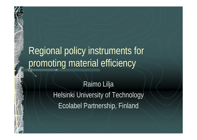## Regional policy instruments for promoting material efficiency

### Raimo Lilja Helsinki University of Technology Ecolabel Partnership, Finland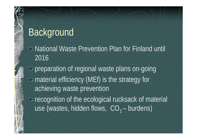## Background

■ National Waste Prevention Plan for Finland until 2016

preparation of regional waste plans on-going material efficiency (MEf) is the strategy for achieving waste prevention **EXAM** recognition of the ecological rucksack of material use (wastes, hidden flows,  $CO<sub>2</sub> -$  burdens)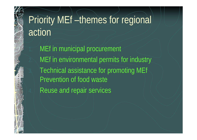# Priority MEf –themes for regional action

MEf in municipal procurement MEf in environmental permits for industry Technical assistance for promoting MEf Prevention of food waste Reuse and repair services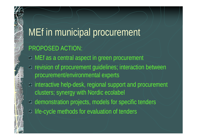# MEf in municipal procurement PROPOSED ACTION: **A.** MEf as a central aspect in green procurement

- **\*** revision of procurement guidelines; interaction between procurement/environmental experts
- **EXAM** interactive help-desk, regional support and procurement clusters; synergy with Nordic ecolabel
- demonstration projects, models for specific tenders
- **Iffe-cycle methods for evaluation of tenders**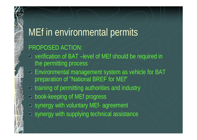## MEf in environmental permits

#### PROPOSED ACTION:

- verification of BAT –level of MEf should be required in the permitting process
- Environmental management system as vehicle for BAT preparation of "National BREF for MEf"
- **\*** training of permitting authorities and industry
- <sup>■</sup> book-keeping of MEf progress
- synergy with voluntary MEf- agreement **synergy with supplying technical assistance**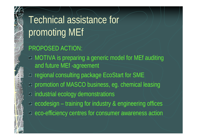Technical assistance for promoting MEf PROPOSED ACTION: MOTIVA is preparing a generic model for MEf auditing and future MEf -agreement **\*** regional consulting package EcoStart for SME promotion of MASCO business, eg. chemical leasing industrial ecology demonstrations  $\triangleq$  ecodesign – training for industry & engineering offices eco-efficiency centres for consumer awareness action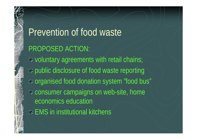Prevention of food waste PROPOSED ACTION: **EX** voluntary agreements with retail chains; public disclosure of food waste reporting organised food donation system "food bus" consumer campaigns on web-site, home economics education EMS in institutional kitchens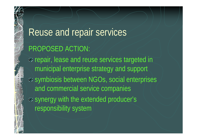# Reuse and repair services PROPOSED ACTION: **\*** repair, lease and reuse services targeted in municipal enterprise strategy and support symbiosis between NGOs, social enterprises and commercial service companies

synergy with the extended producer's responsibility system